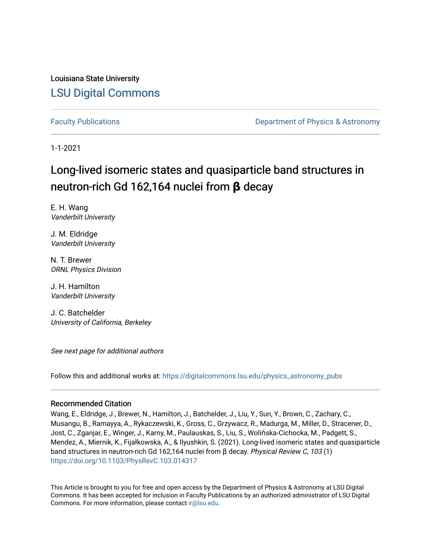Louisiana State University [LSU Digital Commons](https://digitalcommons.lsu.edu/)

[Faculty Publications](https://digitalcommons.lsu.edu/physics_astronomy_pubs) **Example 2** Constant Department of Physics & Astronomy

1-1-2021

# Long-lived isomeric states and quasiparticle band structures in neutron-rich Gd 162,164 nuclei from **β** decay

E. H. Wang Vanderbilt University

J. M. Eldridge Vanderbilt University

N. T. Brewer ORNL Physics Division

J. H. Hamilton Vanderbilt University

J. C. Batchelder University of California, Berkeley

See next page for additional authors

Follow this and additional works at: [https://digitalcommons.lsu.edu/physics\\_astronomy\\_pubs](https://digitalcommons.lsu.edu/physics_astronomy_pubs?utm_source=digitalcommons.lsu.edu%2Fphysics_astronomy_pubs%2F6066&utm_medium=PDF&utm_campaign=PDFCoverPages) 

## Recommended Citation

Wang, E., Eldridge, J., Brewer, N., Hamilton, J., Batchelder, J., Liu, Y., Sun, Y., Brown, C., Zachary, C., Musangu, B., Ramayya, A., Rykaczewski, K., Gross, C., Grzywacz, R., Madurga, M., Miller, D., Stracener, D., Jost, C., Zganjar, E., Winger, J., Karny, M., Paulauskas, S., Liu, S., Wolińska-Cichocka, M., Padgett, S., Mendez, A., Miernik, K., Fijałkowska, A., & Ilyushkin, S. (2021). Long-lived isomeric states and quasiparticle band structures in neutron-rich Gd 162,164 nuclei from β decay. Physical Review C, 103 (1) <https://doi.org/10.1103/PhysRevC.103.014317>

This Article is brought to you for free and open access by the Department of Physics & Astronomy at LSU Digital Commons. It has been accepted for inclusion in Faculty Publications by an authorized administrator of LSU Digital Commons. For more information, please contact [ir@lsu.edu](mailto:ir@lsu.edu).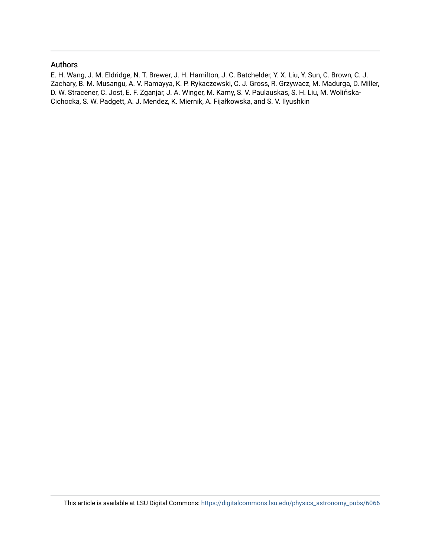# Authors

E. H. Wang, J. M. Eldridge, N. T. Brewer, J. H. Hamilton, J. C. Batchelder, Y. X. Liu, Y. Sun, C. Brown, C. J. Zachary, B. M. Musangu, A. V. Ramayya, K. P. Rykaczewski, C. J. Gross, R. Grzywacz, M. Madurga, D. Miller, D. W. Stracener, C. Jost, E. F. Zganjar, J. A. Winger, M. Karny, S. V. Paulauskas, S. H. Liu, M. Wolińska-Cichocka, S. W. Padgett, A. J. Mendez, K. Miernik, A. Fijałkowska, and S. V. Ilyushkin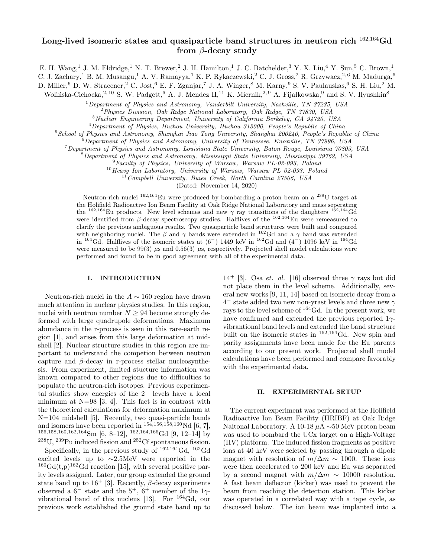# Long-lived isomeric states and quasiparticle band structures in neutron rich <sup>162</sup>,<sup>164</sup>Gd from β-decay study

E. H. Wang,<sup>1</sup> J. M. Eldridge,<sup>1</sup> N. T. Brewer,<sup>2</sup> J. H. Hamilton,<sup>1</sup> J. C. Batchelder,<sup>3</sup> Y. X. Liu,<sup>4</sup> Y. Sun,<sup>5</sup> C. Brown,<sup>1</sup>

C. J. Zachary,<sup>1</sup> B. M. Musangu,<sup>1</sup> A. V. Ramayya,<sup>1</sup> K. P. Rykaczewski,<sup>2</sup> C. J. Gross,<sup>2</sup> R. Grzywacz,<sup>2,6</sup> M. Madurga,<sup>6</sup>

D. Miller,<sup>6</sup> D. W. Stracener,<sup>2</sup> C. Jost,<sup>6</sup> E. F. Zganjar,<sup>7</sup> J. A. Winger,<sup>8</sup> M. Karny,<sup>9</sup> S. V. Paulauskas,<sup>6</sup> S. H. Liu,<sup>2</sup> M.

Wolińska-Cichocka,<sup>2, 10</sup> S. W. Padgett,<sup>6</sup> A. J. Mendez II,<sup>11</sup> K. Miernik,<sup>2, 9</sup> A. Fijałkowska,<sup>9</sup> and S. V. Ilyushkin<sup>8</sup>

 $1$ Department of Physics and Astronomy, Vanderbilt University, Nashville, TN 37235, USA

<sup>2</sup>Physics Division, Oak Ridge National Laboratory, Oak Ridge, TN 37830, USA

<sup>3</sup>Nuclear Engineering Department, University of California Berkeley, CA 94720, USA

<sup>4</sup>Department of Physics, Huzhou University, Huzhou 313000, People's Republic of China

<sup>5</sup>School of Physics and Astronomy, Shanghai Jiao Tong University, Shanghai 200240, People's Republic of China

 $\delta$  Department of Physics and Astronomy, University of Tennessee, Knoxville, TN 37996, USA

<sup>7</sup>Department of Physics and Astronomy, Louisiana State University, Baton Rouge, Louisiana 70803, USA

<sup>8</sup>Department of Physics and Astronomy, Mississippi State University, Mississippi 39762, USA

<sup>9</sup>Faculty of Physics, University of Warsaw, Warsaw PL-02-093, Poland

<sup>10</sup> Heavy Ion Laboratory, University of Warsaw, Warsaw PL 02-093, Poland

 $11^{\circ}$ Campbell University, Buies Creek, North Carolina 27506, USA

(Dated: November 14, 2020)

Neutron-rich nuclei <sup>162,164</sup>Eu were produced by bombarding a proton beam on a <sup>238</sup>U target at the Holifield Radioactive Ion Beam Facility at Oak Ridge National Laboratory and mass seperating the  $^{162,164}$ Eu products. New level schemes and new  $\gamma$  ray transitions of the daughters  $^{162,164}$ Gd were identified from  $\beta$ -decay spectroscopy studies. Halflives of the  $^{162,164}$ Eu were remeasured to clarify the previous ambiguous results. Two quasiparticle band structures were built and compared with neighboring nuclei. The  $\beta$  and  $\gamma$  bands were extended in <sup>162</sup>Gd and a  $\gamma$  band was extended in  $164$  Gd. Halflives of the isomeric states at  $(6^-)$  1449 keV in  $162$  Gd and  $(4^-)$  1096 keV in  $164$  Gd were measured to be 99(3)  $\mu$ s and 0.56(3)  $\mu$ s, respectively. Projected shell model calculations were performed and found to be in good agreement with all of the experimental data.

#### I. INTRODUCTION

Neutron-rich nuclei in the  $A \sim 160$  region have drawn much attention in nuclear physics studies. In this region, nuclei with neutron number  $N \geq 94$  become strongly deformed with large quadrupole deformations. Maximum abundance in the r-process is seen in this rare-earth region [1], and arises from this large deformation at midshell [2]. Nuclear structure studies in this region are important to understand the competion between neutron capture and  $\beta$ -decay in r-process stellar nucleosynthesis. From experiment, limited stucture information was known compared to other regions due to difficulties to populate the neutron-rich isotopes. Previous experimental studies show energies of the  $2^+$  levels have a local minimum at  $N=98$  [3, 4]. This fact is in contrast with the theoretical calculations for deformation maximum at N=104 midshell [5]. Recently, two quasi-particle bands and isomers have been reported in  $154,156,158,160 \text{Nd }[6, 7]$ , 156,158,160,162,164Sm [6, 8–12], <sup>162,164,166</sup>Gd [9, 12–14] by  $^{238}{\rm{U}}, {^{239}{\rm{Pu}}}$  induced fission and  $^{252}{\rm{C}}$  spontaneous fission.

Specifically, in the previous study of <sup>162</sup>,<sup>164</sup>Gd, <sup>162</sup>Gd excited levels up to ∼2.5MeV were reported in the  $160 \text{Gd}(t,p)$ <sup>162</sup>Gd reaction [15], with several positive parity levels assigned. Later, our group extended the ground state band up to  $16^+$  [3]. Recently,  $\beta$ -decay experiments observed a  $6^-$  state and the  $5^+$ ,  $6^+$  member of the  $1\gamma$ vibrational band of this nucleus [13]. For  $^{164}$ Gd, our previous work established the ground state band up to

14<sup>+</sup> [3]. Osa *et. al.* [16] observed three  $\gamma$  rays but did not place them in the level scheme. Additionally, several new works [9, 11, 14] based on isomeric decay from a  $4^-$  state added two new non-yrast levels and three new  $\gamma$ rays to the level scheme of <sup>164</sup>Gd. In the present work, we have confirmed and extended the previous reported  $1\gamma$ vibrantional band levels and extended the band structure built on the isomeric states in <sup>162,164</sup>Gd. New spin and parity assignments have been made for the Eu parents according to our present work. Projected shell model calculations have been performed and compare favorably with the experimental data.

#### II. EXPERIMENTAL SETUP

The current experiment was performed at the Holifield Radioactive Ion Beam Facility (HRIBF) at Oak Ridge Naitonal Laboratory. A 10-18 µA ∼50 MeV proton beam was used to bombard the UCx target on a High-Voltage (HV) platform. The induced fission fragments as positive ions at 40 keV were seleted by passing through a dipole magnet with resolution of  $m/\Delta m \sim 1000$ . These ions were then accelerated to 200 keV and Eu was separated by a second magnet with  $m/\Delta m \sim 10000$  resolution. A fast beam deflector (kicker) was used to prevent the beam from reaching the detection station. This kicker was operated in a correlated way with a tape cycle, as discussed below. The ion beam was implanted into a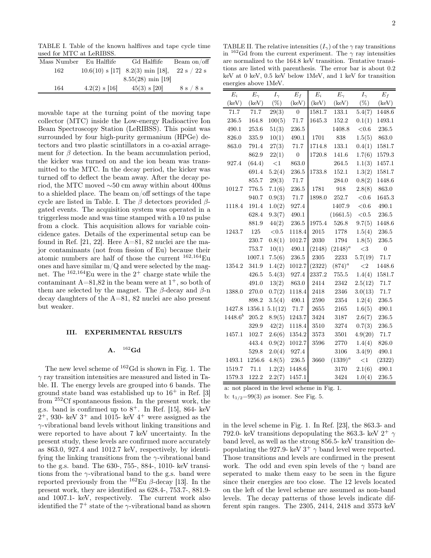TABLE I. Table of the known halflives and tape cycle time used for MTC at LeRIBSS.

| $100.1$ $101.11110$ $101.11110$ |                 |                                      |             |
|---------------------------------|-----------------|--------------------------------------|-------------|
| Mass Number                     | Eu Halflife     | Gd Halflife                          | Beam on/off |
| 162                             |                 | $10.6(10)$ s [17] $8.2(3)$ min [18], | 22 s / 22 s |
|                                 |                 | $8.55(28)$ min [19]                  |             |
| 164                             | $4.2(2)$ s [16] | $45(3)$ s [20]                       | 8 s / 8 s   |

movable tape at the turning point of the moving tape collector (MTC) inside the Low-energy Radioactive Ion Beam Spectroscopy Station (LeRIBSS). This point was surrounded by four high-purity germanium (HPGe) detectors and two plastic scintillators in a co-axial arragement for  $\beta$  detection. In the beam accumulation period, the kicker was turned on and the ion beam was transmitted to the MTC. In the decay period, the kicker was turned off to deflect the beam away. After the decay period, the MTC moved ∼50 cm away within about 400ms to a shielded place. The beam on/off settings of the tape cycle are listed in Table. I. The  $\beta$  detectors provided  $\beta$ gated events. The acquisition system was operated in a triggerless mode and was time stamped with a 10 ns pulse from a clock. This acquisition allows for variable coincidence gates. Details of the experimental setup can be found in Ref. [21, 22]. Here A=81, 82 nuclei are the major contaminants (not from fission of Eu) because their atomic numbers are half of those the current <sup>162</sup>,164Eu ones and have similar  $m/Q$  and were selected by the magnet. The  $162,164$ Eu were in the  $2^+$  charge state while the contaminant  $A=81,82$  in the beam were at  $1^+$ , so both of them are selected by the magnet. The  $\beta$ -decay and  $\beta$ -n decay daughters of the A=81, 82 nuclei are also present but weaker.

#### III. EXPERIMENTAL RESULTS

#### $A.$ <sup>162</sup>Gd

The new level scheme of  $^{162}$ Gd is shown in Fig. 1. The  $\gamma$  ray transition intensities are measured and listed in Table. II. The energy levels are grouped into 6 bands. The ground state band was established up to  $16^+$  in Ref. [3] from <sup>252</sup>Cf spontaneous fission. In the present work, the g.s. band is confirmed up to  $8^+$ . In Ref. [15], 864- keV  $2^+$ , 930- keV  $3^+$  and 1015- keV  $4^+$  were assigned as the  $\gamma$ -vibrational band levels without linking transitions and were reported to have about 7 keV uncertainty. In the present study, these levels are confirmed more accurately as 863.0, 927.4 and 1012.7 keV, respectively, by identifying the linking transitions from the  $\gamma$ -vibrational band to the g.s. band. The 630-, 755-, 884-, 1010- keV transitions from the  $\gamma$ -vibrational band to the g.s. band were reported previously from the  $^{162}$ Eu β-decay [13]. In the present work, they are identified as 628.4-, 753.7-, 881.9 and 1007.1- keV, respectively. The current work also identified the  $7^+$  state of the  $\gamma$ -vibrational band as shown

TABLE II. The relative intensities  $(I_{\gamma})$  of the  $\gamma$  ray transitions in  $162$ Gd from the current experiment. The  $\gamma$  ray intensities are normalized to the 164.8 keV transition. Tentative transitions are listed with parenthesis. The error bar is about 0.2 keV at 0 keV, 0.5 keV below 1MeV, and 1 keV for transition energies above 1MeV.

| $E_i$        | $E_{\gamma}$ | $I_{\gamma}$ | $E_f$            | $E_i$    | $E_{\gamma}$ | $I_{\gamma}$ | $E_f$            |
|--------------|--------------|--------------|------------------|----------|--------------|--------------|------------------|
| (keV)        | (keV)        | $(\%)$       | (keV)            | (keV)    | (keV)        | $(\%)$       | (keV)            |
| 71.7         | 71.7         | 29(3)        | $\theta$         | 1581.7   | 133.1        | 5.4(7)       | 1448.6           |
| 236.5        | 164.8        | 100(5)       | 71.7             | 1645.3   | 152.2        | 0.1(1)       | 1493.1           |
| 490.1        | 253.6        | 51(3)        | 236.5            |          | 1408.8       | $<0.6$       | 236.5            |
| 826.0        | 335.9        | 10(1)        | 490.1            | 1701     | 838          | 1.5(5)       | 863.0            |
| 863.0        | 791.4        | 27(3)        | $71.7\,$         | 1714.8   | 133.1        | 0.4(1)       | 1581.7           |
|              | 862.9        | 22(1)        | $\boldsymbol{0}$ | 1720.8   | 141.6        | 1.7(6)       | 1579.3           |
| 927.4        | (64.4)       | ${<}1$       | 863.0            |          | $264.5\,$    | 1.1(3)       | 1457.1           |
|              | 691.4        | 5.2(4)       | 236.5            | 1733.8   | 152.1        | 1.3(2)       | 1581.7           |
|              | 855.7        | 29(3)        | 71.7             |          | 284.0        | 0.8(2)       | 1448.6           |
| 1012.7       | 776.5        | 7.1(6)       | 236.5            | 1781     | 918          | 2.8(8)       | 863.0            |
|              | 940.7        | 0.9(3)       | 71.7             | 1898.0   | 252.7        | ${<}0.6$     | 1645.3           |
| 1118.4       | 191.4        | 1.0(2)       | 927.4            |          | 1407.9       | $<\!0.6$     | 490.1            |
|              | 628.4        | 9.3(7)       | 490.1            |          | (1661.5)     | $<\!0.5$     | 236.5            |
|              | 881.9        | 44(2)        | $236.5\,$        | 1975.4   | 526.8        | 9.7(5)       | 1448.6           |
| 1243.7       | 125          | ${<}0.5$     | 1118.4           | 2015     | 1778         | 1.5(4)       | 236.5            |
|              | 230.7        | 0.8(1)       | 1012.7           | 2030     | 1794         | 1.8(5)       | 236.5            |
|              | 753.7        | 10(1)        | 490.1            | (2148)   | $(2148)^{a}$ | $<$ 3        | $\boldsymbol{0}$ |
|              | 1007.1       | 7.5(6)       | 236.5            | 2305     | 2233         | 5.7(19)      | 71.7             |
| 1354.2       | 341.9        | 1.4(2)       | 1012.7           | (2322)   | $(874)^{a}$  | ${<}2\,$     | 1448.6           |
|              | 426.5        | 5.4(3)       | 927.4            | 2337.2   | 755.5        | 1.4(4)       | 1581.7           |
|              | 491.0        | 13(2)        | 863.0            | 2414     | 2342         | 2.5(12)      | 71.7             |
| 1388.0       | 270.0        | 0.7(2)       | 1118.4           | 2418     | 2346         | 3.0(13)      | 71.7             |
|              | 898.2        | 3.5(4)       | 490.1            | 2590     | 2354         | 1.2(4)       | 236.5            |
| 1427.8       | 1356.1       | 5.1(12)      | $71.7\,$         | $2655\,$ | 2165         | 1.6(5)       | 490.1            |
| $1448.6^{b}$ | $205.2\,$    | 8.9(5)       | 1243.7           | 3424     | 3187         | 2.6(7)       | 236.5            |
|              | 329.9        | 42(2)        | 1118.4           | 3510     | 3274         | 0.7(3)       | 236.5            |
| 1457.1       | $102.7\,$    | 2.6(6)       | 1354.2           | $3573\,$ | 3501         | 4.9(20)      | $71.7\,$         |
|              | 443.4        | 0.9(2)       | 1012.7           | 3596     | 2770         | 1.4(4)       | 826.0            |
|              | 529.8        | 2.0(4)       | 927.4            |          | 3106         | 3.4(9)       | 490.1            |
| 1493.1       | 1256.6       | 4.8(5)       | $236.5\,$        | 3660     | $(1339)^{a}$ | <1           | (2322)           |
| 1519.7       | 71.1         | 1.2(2)       | 1448.6           |          | 3170         | 2.1(6)       | 490.1            |
| 1579.3       | 122.2        | 2.2(7)       | 1457.1           |          | 3424         | 1.0(4)       | 236.5            |

a: not placed in the level scheme in Fig. 1.

b:  $t_{1/2} = 99(3)$  µs isomer. See Fig. 5.

in the level scheme in Fig. 1. In Ref. [23], the 863.3- and 792.0- keV transitions depopulating the 863.3- keV  $2^+$   $\gamma$ band level, as well as the strong 856.5- keV transition depopulating the 927.9- keV  $3^+$   $\gamma$  band level were reported. Those transitions and levels are confirmed in the present work. The odd and even spin levels of the  $\gamma$  band are seperated to make them easy to be seen in the figure since their energies are too close. The 12 levels located on the left of the level scheme are assumed as non-band levels. The decay patterns of those levels indicate different spin ranges. The 2305, 2414, 2418 and 3573 keV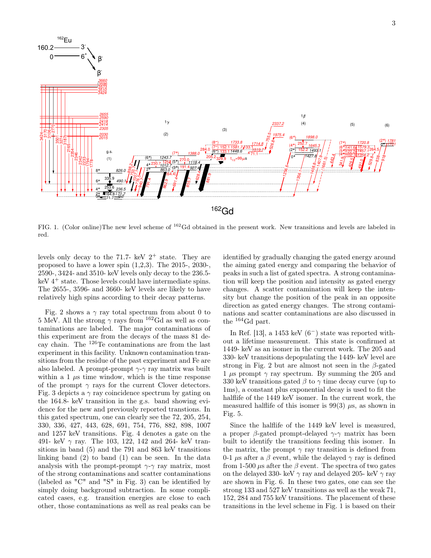

FIG. 1. (Color online)The new level scheme of <sup>162</sup>Gd obtained in the present work. New transitions and levels are labeled in red.

levels only decay to the 71.7- keV  $2^+$  state. They are proposed to have a lower spin (1,2,3). The 2015-, 2030-, 2590-, 3424- and 3510- keV levels only decay to the 236.5  $keV$  4<sup>+</sup> state. Those levels could have intermediate spins. The 2655-, 3596- and 3660- keV levels are likely to have relatively high spins according to their decay patterns.

Fig. 2 shows a  $\gamma$  ray total spectrum from about 0 to 5 MeV. All the strong  $\gamma$  rays from <sup>162</sup>Gd as well as contaminations are labeled. The major contaminations of this experiment are from the decays of the mass 81 decay chain. The <sup>126</sup>Te contaminations are from the last experiment in this facility. Unknown contamination transitions from the residue of the past experiment and Fe are also labeled. A prompt-prompt  $\gamma$ - $\gamma$  ray matrix was built within a 1  $\mu$ s time window, which is the time response of the prompt  $\gamma$  rays for the current Clover detectors. Fig. 3 depicts a  $\gamma$  ray coincidence spectrum by gating on the 164.8- keV transition in the g.s. band showing evidence for the new and previously reported transtions. In this gated spectrum, one can clearly see the 72, 205, 254, 330, 336, 427, 443, 628, 691, 754, 776, 882, 898, 1007 and 1257 keV transitions. Fig. 4 denotes a gate on the 491- keV  $\gamma$  ray. The 103, 122, 142 and 264- keV transitions in band (5) and the 791 and 863 keV transitions linking band (2) to band (1) can be seen. In the data analysis with the prompt-prompt  $\gamma$ - $\gamma$  ray matrix, most of the strong contaminations and scatter contaminations (labeled as "C" and "S" in Fig. 3) can be identified by simply doing background subtraction. In some complicated cases, e.g. transition energies are close to each other, those contaminations as well as real peaks can be

identified by gradually changing the gated energy around the aiming gated energy and comparing the behavior of peaks in such a list of gated spectra. A strong contamination will keep the position and intensity as gated energy changes. A scatter contamination will keep the intensity but change the position of the peak in an opposite direction as gated energy changes. The strong contaminations and scatter contaminations are also discussed in the <sup>164</sup>Gd part.

In Ref. [13], a 1453 keV  $(6^-)$  state was reported without a lifetime measurement. This state is confirmed at 1449- keV as an isomer in the current work. The 205 and 330- keV transitions depopulating the 1449- keV level are strong in Fig. 2 but are almost not seen in the  $\beta$ -gated 1  $\mu$ s prompt  $\gamma$  ray spectrum. By summing the 205 and 330 keV transitions gated  $\beta$  to  $\gamma$  time decay curve (up to 1ms), a constant plus exponential decay is used to fit the halflife of the 1449 keV isomer. In the current work, the measured halflife of this isomer is 99(3)  $\mu$ s, as shown in Fig. 5.

Since the halflife of the 1449 keV level is measured, a proper  $\beta$ -gated prompt-delayed  $\gamma$ - $\gamma$  matrix has been built to identify the transitions feeding this isomer. In the matrix, the prompt  $\gamma$  ray transition is defined from 0-1  $\mu$ s after a  $\beta$  event, while the delayed  $\gamma$  ray is defined from 1-500  $\mu$ s after the  $\beta$  event. The spectra of two gates on the delayed 330- keV  $\gamma$  ray and delayed 205- keV  $\gamma$  ray are shown in Fig. 6. In these two gates, one can see the strong 133 and 527 keV transitions as well as the weak 71, 152, 284 and 755 keV transitions. The placement of these transitions in the level scheme in Fig. 1 is based on their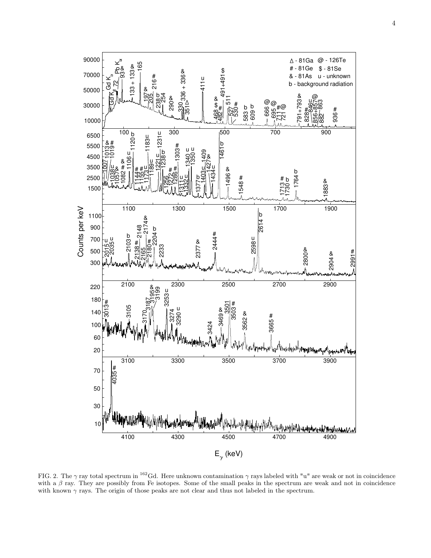

FIG. 2. The  $\gamma$  ray total spectrum in <sup>162</sup>Gd. Here unknown contamination  $\gamma$  rays labeled with "u" are weak or not in coincidence with a  $\beta$  ray. They are possibly from Fe isotopes. Some of the small peaks in the spectrum are weak and not in coincidence with known  $\gamma$  rays. The origin of those peaks are not clear and thus not labeled in the spectrum.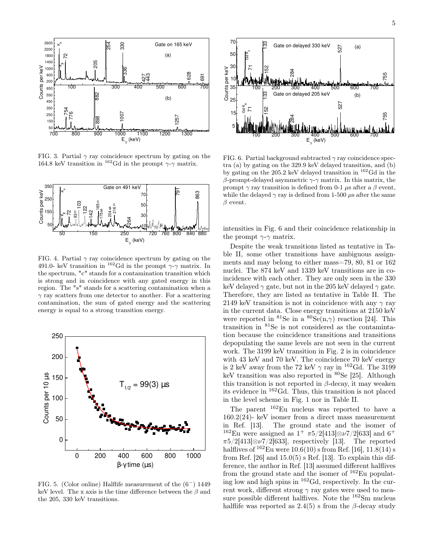

FIG. 3. Partial  $\gamma$  ray coincidence spectrum by gating on the 164.8 keV transition in <sup>162</sup>Gd in the prompt  $\gamma$ - $\gamma$  matrix.



FIG. 4. Partial  $\gamma$  ray coincidence spectrum by gating on the 491.0- keV transition in <sup>162</sup>Gd in the prompt  $\gamma$ - $\gamma$  matrix. In the spectrum, "c" stands for a contamination transition which is strong and in coincidence with any gated energy in this region. The "s" stands for a scattering contamination when a  $\gamma$  ray scatters from one detector to another. For a scattering contamination, the sum of gated energy and the scattering energy is equal to a strong transition energy.



FIG. 5. (Color online) Halflife measurement of the (6<sup>−</sup>) 1449 keV level. The x axis is the time difference between the  $\beta$  and the 205, 330 keV transitions.



FIG. 6. Partial background subtracted  $\gamma$  ray coincidence spectra (a) by gating on the 329.9 keV delayed transition, and (b) by gating on the 205.2 keV delayed transition in <sup>162</sup>Gd in the β-prompt-delayed asymmetric γ-γ matrix. In this matrix, the prompt  $\gamma$  ray transition is defined from 0-1  $\mu$ s after a  $\beta$  event, while the delayed  $\gamma$  ray is defined from 1-500  $\mu$ s after the same  $\beta$  event.

intensities in Fig. 6 and their coincidence relationship in the prompt  $\gamma$ - $\gamma$  matrix.

Despite the weak transitions listed as tentative in Table II, some other transitions have ambiguous assignments and may belong to either mass=79, 80, 81 or 162 nuclei. The 874 keV and 1339 keV transitions are in coincidence with each other. They are only seen in the 330 keV delayed  $\gamma$  gate, but not in the 205 keV delayed  $\gamma$  gate. Therefore, they are listed as tentative in Table II. The 2149 keV transition is not in coincidence with any  $\gamma$  ray in the current data. Close energy transitions at 2150 keV were reported in <sup>81</sup>Se in a  ${}^{80}Se(n,\gamma)$  reaction [24]. This transition in <sup>81</sup>Se is not considered as the contamintation because the coincidence transitions and transitions depopulating the same levels are not seen in the current work. The 3199 keV transition in Fig. 2 is in coincidence with 43 keV and 70 keV. The coincidence 70 keV energy is 2 keV away from the 72 keV  $\gamma$  ray in <sup>162</sup>Gd. The 3199 keV transition was also reported in <sup>80</sup>Se [25]. Although this transition is not reported in  $\beta$ -decay, it may weaken its evidence in <sup>162</sup>Gd. Thus, this transition is not placed in the level scheme in Fig. 1 nor in Table II.

The parent <sup>162</sup>Eu nucleus was reported to have a  $160.2(24)$ - keV isomer from a direct mass measurement<br>in Ref. [13]. The ground state and the isomer of The ground state and the isomer of <sup>162</sup>Eu were assigned as  $1^+ \pi 5/2[413] \otimes \nu 7/2[633]$  and 6<sup>+</sup>  $\pi 5/2[413]\otimes \nu 7/2[633]$ , respectively [13]. The reported halflives of  $^{162}$ Eu were  $10.6(10)$  s from Ref. [16],  $11.8(14)$  s from Ref.  $[26]$  and  $15.0(5)$  s Ref.  $[13]$ . To explain this difference, the author in Ref. [13] assumed different halflives from the ground state and the isomer of  $^{162}$ Eu populating low and high spins in  $^{162}$ Gd, respectively. In the current work, different strong  $\gamma$  ray gates were used to measure possible different halflives. Note the <sup>162</sup>Sm nucleus halflife was reported as  $2.4(5)$  s from the  $\beta$ -decay study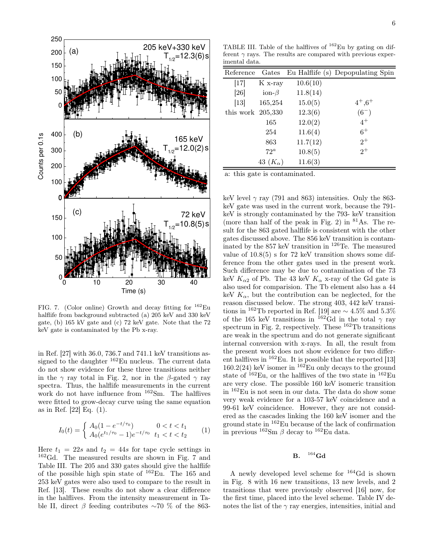

FIG. 7. (Color online) Growth and decay fitting for  $162$ Eu halflife from background subtracted (a) 205 keV and 330 keV gate, (b) 165 kV gate and (c) 72 keV gate. Note that the 72 keV gate is contaminated by the Pb x-ray.

in Ref. [27] with 36.0, 736.7 and 741.1 keV transitions assigned to the daughter  $162$ Eu nucleus. The current data do not show evidence for these three transitions neither in the  $\gamma$  ray total in Fig. 2, nor in the β-gated  $\gamma$  ray spectra. Thus, the halflife measurements in the current work do not have influence from <sup>162</sup>Sm. The halflives were fitted to grow-decay curve using the same equation as in Ref. [22] Eq. (1).

$$
I_0(t) = \begin{cases} A_0(1 - e^{-t/\tau_0}) & 0 < t < t_1 \\ A_0(e^{t_1/\tau_0} - 1)e^{-t/\tau_0} & t_1 < t < t_2 \end{cases} \tag{1}
$$

Here  $t_1 = 22s$  and  $t_2 = 44s$  for tape cycle settings in <sup>162</sup>Gd. The measured results are shown in Fig. 7 and Table III. The 205 and 330 gates should give the halflife of the possible high spin state of  $^{162}$ Eu. The 165 and 253 keV gates were also used to compare to the result in Ref. [13]. These results do not show a clear difference in the halflives. From the intensity measurement in Table II, direct  $\beta$  feeding contributes ∼70 % of the 863-

TABLE III. Table of the halflives of  $162$ Eu by gating on different  $\gamma$  rays. The results are compared with previous experimental data.

| Reference           | Gates             |          | Eu Halflife (s) Depopulating Spin |
|---------------------|-------------------|----------|-----------------------------------|
| $[17]$              | $K_{x-ray}$       | 10.6(10) |                                   |
| [26]                | ion- $\beta$      | 11.8(14) |                                   |
| $[13]$              | 165,254           | 15.0(5)  | $4^+,6^+$                         |
| this work $205,330$ |                   | 12.3(6)  | $(6^{-})$                         |
|                     | 165               | 12.0(2)  | $4^+$                             |
|                     | 254               | 11.6(4)  | $6^+$                             |
|                     | 863               | 11.7(12) | $2^+$                             |
|                     | $72^{\circ}$      | 10.8(5)  | $2^+$                             |
|                     | 43 $(K_{\alpha})$ | 11.6(3)  |                                   |

a: this gate is contaminated.

keV level  $\gamma$  ray (791 and 863) intensities. Only the 863keV gate was used in the current work, because the 791 keV is strongly contaminated by the 793- keV transition (more than half of the peak in Fig. 2) in  $81\text{As}$ . The result for the 863 gated halflife is consistent with the other gates discussed above. The 856 keV transition is contaminated by the 857 keV transition in <sup>126</sup>Te. The measured value of  $10.8(5)$  s for 72 keV transition shows some difference from the other gates used in the present work. Such difference may be due to contamination of the 73 keV  $K_{\alpha 2}$  of Pb. The 43 keV  $K_{\alpha}$  x-ray of the Gd gate is also used for comparision. The Tb element also has a 44 keV  $K_{\alpha}$ , but the contribution can be neglected, for the reason discussed below. The strong 403, 442 keV transitions in <sup>162</sup>Tb reported in Ref. [19] are  $\sim 4.5\%$  and 5.3% of the 165 keV transitions in <sup>162</sup>Gd in the total  $\gamma$  ray spectrum in Fig. 2, respectively. These  $^{162}$ Tb transitions are weak in the spectrum and do not generate significant internal conversion with x-rays. In all, the result from the present work does not show evidence for two different halflives in  $162$ Eu. It is possible that the reported [13]  $160.2(24)$  keV isomer in  $162$ Eu only decays to the ground state of <sup>162</sup>Eu, or the halflives of the two state in <sup>162</sup>Eu are very close. The possible 160 keV isomeric transition in <sup>162</sup>Eu is not seen in our data. The data do show some very weak evidence for a 103-57 keV coincidence and a 99-61 keV coincidence. However, they are not considered as the cascades linking the 160 keV isomer and the ground state in <sup>162</sup>Eu because of the lack of confirmation in previous  $^{162}$ Sm  $\beta$  decay to  $^{162}$ Eu data.

#### B.  $164$  Gd

A newly developed level scheme for <sup>164</sup>Gd is shown in Fig. 8 with 16 new transitions, 13 new levels, and 2 transitions that were previously observed [16] now, for the first time, placed into the level scheme. Table IV denotes the list of the  $\gamma$  ray energies, intensities, initial and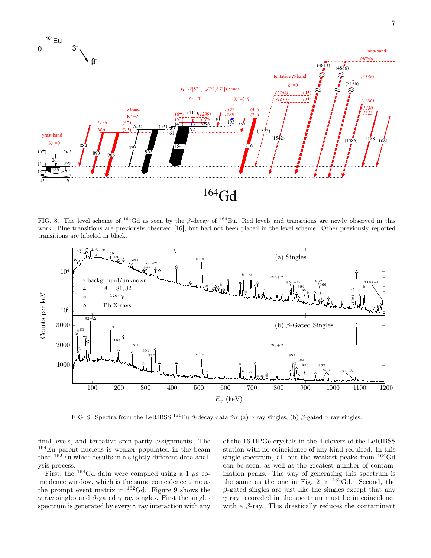

FIG. 8. The level scheme of  $^{164}$ Gd as seen by the β-decay of  $^{164}$ Eu. Red levels and transitions are newly observed in this work. Blue transitions are previously observed [16], but had not been placed in the level scheme. Other previously reported transitions are labeled in black.



FIG. 9. Spectra from the LeRIBSS  $^{164}$ Eu β-decay data for (a)  $\gamma$  ray singles, (b) β-gated  $\gamma$  ray singles.

final levels, and tentative spin-parity assignments. The <sup>164</sup>Eu parent nucleus is weaker populated in the beam than  $162$ Eu which results in a slightly different data analysis process.

First, the  $^{164}$ Gd data were compiled using a 1  $\mu$ s coincidence window, which is the same coincidence time as the prompt event matrix in  $^{162}$ Gd. Figure 9 shows the  $γ$  ray singles and β-gated γ ray singles. First the singles spectrum is generated by every  $\gamma$  ray interaction with any

of the 16 HPGe crystals in the 4 clovers of the LeRIBSS station with no coincidence of any kind required. In this single spectrum, all but the weakest peaks from <sup>164</sup>Gd can be seen, as well as the greatest number of contamination peaks. The way of generating this spectrum is the same as the one in Fig. 2 in  $162\text{Gd}$ . Second, the  $\beta$ -gated singles are just like the singles except that any  $\gamma$  ray recoreded in the spectrum must be in coincidence with a  $\beta$ -ray. This drastically reduces the contaminant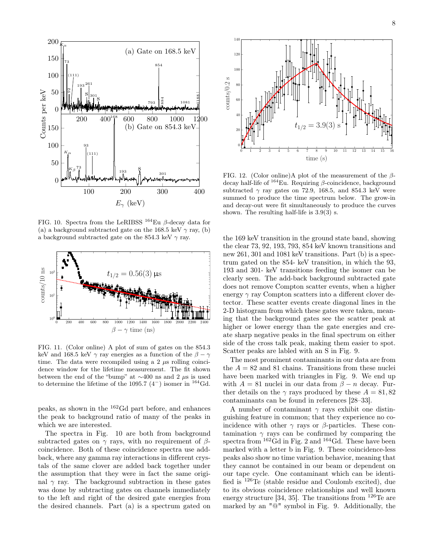

FIG. 10. Spectra from the LeRIBSS  $^{164}$ Eu  $\beta$ -decay data for (a) a background subtracted gate on the 168.5 keV  $\gamma$  ray, (b) a background subtracted gate on the 854.3 keV  $\gamma$  ray.



FIG. 11. (Color online) A plot of sum of gates on the 854.3 keV and 168.5 keV  $\gamma$  ray energies as a function of the  $\beta - \gamma$ time. The data were recompiled using a 2  $\mu$ s rolling coincidence window for the lifetime measurement. The fit shown between the end of the "bump" at  $\sim$ 400 ns and 2 µs is used to determine the lifetime of the 1095.7  $(4^-)$  isomer in <sup>164</sup>Gd.

peaks, as shown in the <sup>162</sup>Gd part before, and enhances the peak to background ratio of many of the peaks in which we are interested.

The spectra in Fig. 10 are both from background subtracted gates on  $\gamma$  rays, with no requirement of  $\beta$ coincidence. Both of these coincidence spectra use addback, where any gamma ray interactions in different crystals of the same clover are added back together under the assumption that they were in fact the same original  $\gamma$  ray. The background subtraction in these gates was done by subtracting gates on channels immediately to the left and right of the desired gate energies from the desired channels. Part (a) is a spectrum gated on



FIG. 12. (Color online)A plot of the measurement of the  $\beta$ decay half-life of  $164$ Eu. Requiring  $\beta$ -coincidence, background subtracted  $\gamma$  ray gates on 72.9, 168.5, and 854.3 keV were summed to produce the time spectrum below. The grow-in and decay-out were fit simultaneously to produce the curves shown. The resulting half-life is 3.9(3) s.

the 169 keV transition in the ground state band, showing the clear 73, 92, 193, 793, 854 keV known transitions and new 261, 301 and 1081 keV transitions. Part (b) is a spectrum gated on the 854- keV transition, in which the 93, 193 and 301- keV transitions feeding the isomer can be clearly seen. The add-back background subtracted gate does not remove Compton scatter events, when a higher energy  $\gamma$  ray Compton scatters into a different clover detector. These scatter events create diagonal lines in the 2-D histogram from which these gates were taken, meaning that the background gates see the scatter peak at higher or lower energy than the gate energies and create sharp negative peaks in the final spectrum on either side of the cross talk peak, making them easier to spot. Scatter peaks are labled with an S in Fig. 9.

The most prominent contaminants in our data are from the  $A = 82$  and 81 chains. Transitions from these nuclei have been marked with triangles in Fig. 9. We end up with  $A = 81$  nuclei in our data from  $\beta - n$  decay. Further details on the  $\gamma$  rays produced by these  $A = 81,82$ contaminants can be found in references [28–33].

A number of contaminant  $\gamma$  rays exhibit one distinguishing feature in common; that they experience no coincidence with other  $\gamma$  rays or  $\beta$ -particles. These contamination  $\gamma$  rays can be confirmed by comparing the spectra from <sup>162</sup>Gd in Fig. 2 and <sup>164</sup>Gd. These have been marked with a letter b in Fig. 9. These coincidence-less peaks also show no time variation behavior, meaning that they cannot be contained in our beam or dependent on our tape cycle. One contaminant which can be identified is <sup>126</sup>Te (stable residue and Coulomb excited), due to its obvious coincidence relationships and well known energy structure [34, 35]. The transitions from  $126$ Te are marked by an "@" symbol in Fig. 9. Additionally, the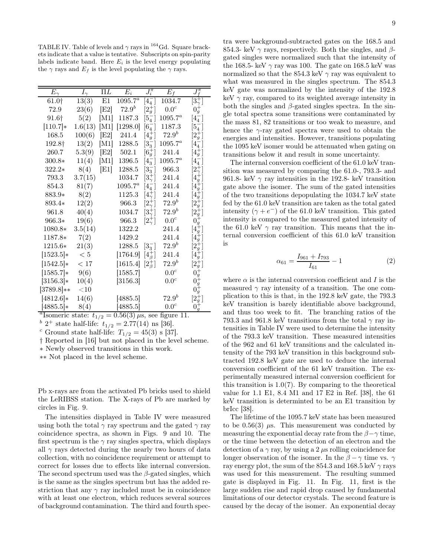TABLE IV. Table of levels and  $\gamma$  rays in <sup>164</sup>Gd. Square brackets indicate that a value is tentative. Subscripts on spin-parity labels indicate band. Here  $E_i$  is the level energy populating the  $\gamma$  rays and  $E_f$  is the level populating the  $\gamma$  rays.

| $E_\gamma$   | $I_\gamma$ | $\Pi L$ | $E_i$        | $\overline{J_i^\pi}$ | $E_f$            | $J^\pi_{f}$          |
|--------------|------------|---------|--------------|----------------------|------------------|----------------------|
| 61.0†        | 13(3)      | E1      | $1095.7^{a}$ | $ 4^{-}_{4} $        | 1034.7           | $[3^+_\gamma]$       |
| 72.9         | 23(6)      | [E2]    | $72.9^{b}$   | $[2^{+}_{q}]$        | 0.0 <sup>c</sup> | $0_q^+$              |
| 91.6†        | 5(2)       | M1      | 1187.3       | $[5^-_4]$            | $1095.7^a$       | $[4^{-}_{4}]$        |
| $[110.7]*$   | 1.6(13)    | M1      | [1298.0]     | $[6^{-}_{4}]$        | 1187.3           | $[5^-_4]$            |
| 168.5        | 100(6)     | [E2]    | 241.4        | $[4^+_q]$            | $72.9^{b}$       | $[2^{+}_{g}]$        |
| 192.8†       | 13(2)      | [M1]    | 1288.5       | $[3^{-}_{3}]$        | $1095.7^a$       | $[4^-_4]$            |
| 260.7        | 5.3(9)     | [E2]    | 502.1        | $[6^{+}_g]$          | 241.4            | $[4^+_g]$            |
| 300.8*       | 11(4)      | M1      | 1396.5       | $[4^{-}_{3}]$        | $1095.7^a$       | $[4^{-}_{4}]$        |
| $322.2*$     | 8(4)       | [E1]    | 1288.5       | $[3^{-}_{3}]$        | 966.3            | $2^+_\gamma$         |
| 793.3        | 3.7(15)    |         | 1034.7       | $[3^{+}_{\gamma}]$   | 241.4            | $\left 4_g^+\right $ |
| 854.3        | 81(7)      |         | $1095.7^{a}$ | $[4^-_4]$            | 241.4            | $[4^+_g]$            |
| 883.9*       | 8(2)       |         | 1125.3       | $[4^{+}_{\gamma}]$   | 241.4            | $4^{+}_{g}$          |
| 893.4*       | 12(2)      |         | 966.3        | $[2^+_\gamma]$       | $72.9^{b}$       | $2_g^+$              |
| 961.8        | 40(4)      |         | 1034.7       | $[3^{+}_{\gamma}]$   | $72.9^b$         | $[2^{+}_{g}]$        |
| 966.3*       | 19(6)      |         | 966.3        | $[2^+_\gamma]$       | $0.0^c$          |                      |
| 1080.8*      | 3.5(14)    |         | 1322.2       |                      | 241.4            | $[4^+_g]$            |
| 1187.8*      | 7(2)       |         | 1429.2       |                      | 241.4            | $[4^+_q]$            |
| 1215.6*      | 21(3)      |         | 1288.5       | $[3^{-}_{3}]$        | $72.9^{b}$       | $[2^{+}_{g}]$        |
| $[1523.5]*$  | < 5        |         | [1764.9]     | $[4^+_\beta]$        | 241.4            | $[4_g^+]$            |
| $[1542.5]*$  | < 17       |         | [1615.4]     | $[2^+_\beta]$        | $72.9^b$         | $[2^{+}_{g}]$        |
| $[1585.7]*$  | 9(6)       |         | [1585.7]     |                      | 0.0 <sup>c</sup> | $0^+_g$              |
| $[3156.3]*$  | 10(4)      |         | [3156.3]     |                      | 0.0 <sup>c</sup> |                      |
| $[3789.8]**$ | $<$ 10     |         |              |                      |                  |                      |
| $[4812.6]*$  | 14(6)      |         | [4885.5]     |                      | $72.9^b$         | $[2^+_q]$            |
| $[4885.5]*$  | 8(4)       |         | [4885.5]     |                      | 0.0 <sup>c</sup> | $0_g^+$              |

<sup>a</sup>Isomeric state:  $t_{1/2} = 0.56(3) \,\mu s$ , see figure 11.

 $b^b$  2<sup>+</sup> state half-life:  $t_{1/2} = 2.77(14)$  ns [36].

<sup>c</sup> Ground state half-life:  $T_{1/2} = 45(3)$  s [37].

† Reported in [16] but not placed in the level scheme.

∗ Newly observed transitions in this work.

∗∗ Not placed in the level scheme.

Pb x-rays are from the activated Pb bricks used to shield the LeRIBSS station. The X-rays of Pb are marked by circles in Fig. 9.

The intensities displayed in Table IV were measured using both the total  $\gamma$  ray spectrum and the gated  $\gamma$  ray coincidence spectra, as shown in Figs. 9 and 10. The first spectrum is the  $\gamma$  ray singles spectra, which displays all  $\gamma$  rays detected during the nearly two hours of data collection, with no coincidence requirement or attempt to correct for losses due to effects like internal conversion. The second spectrum used was the  $\beta$ -gated singles, which is the same as the singles spectrum but has the added restriction that any  $\gamma$  ray included must be in coincidence with at least one electron, which reduces several sources of background contamination. The third and fourth spec-

tra were background-subtracted gates on the 168.5 and 854.3- keV  $\gamma$  rays, respectively. Both the singles, and  $\beta$ gated singles were normalized such that the intensity of the 168.5- keV  $\gamma$  ray was 100. The gate on 168.5 keV was normalized so that the 854.3 keV  $\gamma$  ray was equivalent to what was measured in the singles spectrum. The 854.3 keV gate was normalized by the intensity of the 192.8 keV  $\gamma$  ray, compared to its weighted average intensity in both the singles and  $\beta$ -gated singles spectra. In the single total spectra some transitions were contaminated by the mass 81, 82 transitions or too weak to measure, and hence the  $\gamma$ -ray gated spectra were used to obtain the energies and intensities. However, transitions populating the 1095 keV isomer would be attenuated when gating on transitions below it and result in some uncertainty.

The internal conversion coefficient of the 61.0 keV transition was measured by comparing the 61.0-, 793.3- and 961.8- keV  $\gamma$  ray intensities in the 192.8- keV transition gate above the isomer. The sum of the gated intensities of the two transitions depopulating the 1034.7 keV state fed by the 61.0 keV transition are taken as the total gated intensity  $(\gamma + e^{-})$  of the 61.0 keV transition. This gated intensity is compared to the measured gated intensity of the 61.0 keV  $\gamma$  ray transition. This means that the internal conversion coefficient of this 61.0 keV transition is

$$
\alpha_{61} = \frac{I_{961} + I_{793}}{I_{61}} - 1\tag{2}
$$

where  $\alpha$  is the internal conversion coefficient and I is the measured  $\gamma$  ray intensity of a transition. The one complication to this is that, in the 192.8 keV gate, the 793.3 keV transition is barely identifiable above background, and thus too week to fit. The branching ratios of the 793.3 and 961.8 keV transitions from the total  $\gamma$  ray intensities in Table IV were used to determine the intensity of the 793.3 keV transition. These measured intensities of the 962 and 61 keV transitions and the calculated intensity of the 793 keV transition in this background subtracted 192.8 keV gate are used to deduce the internal conversion coefficient of the 61 keV transition. The experimentally measured internal conversion coefficient for this transition is  $1.0(7)$ . By comparing to the theoretical value for 1.1 E1, 8.4 M1 and 17 E2 in Ref. [38], the 61 keV transition is determinted to be an E1 transition by brIcc [38].

The lifetime of the 1095.7 keV state has been measured to be  $0.56(3)$   $\mu$ s. This measurement was conducted by measuring the exponential decay rate from the  $\beta-\gamma$  time, or the time between the detection of an electron and the detection of a  $\gamma$  ray, by using a 2  $\mu$ s rolling coincidence for longer observation of the isomer. In the  $\beta - \gamma$  time vs.  $\gamma$ ray energy plot, the sum of the 854.3 and 168.5 keV  $\gamma$  rays was used for this measurement. The resulting summed gate is displayed in Fig. 11. In Fig. 11, first is the large sudden rise and rapid drop caused by fundamental limitations of our detector crystals. The second feature is caused by the decay of the isomer. An exponential decay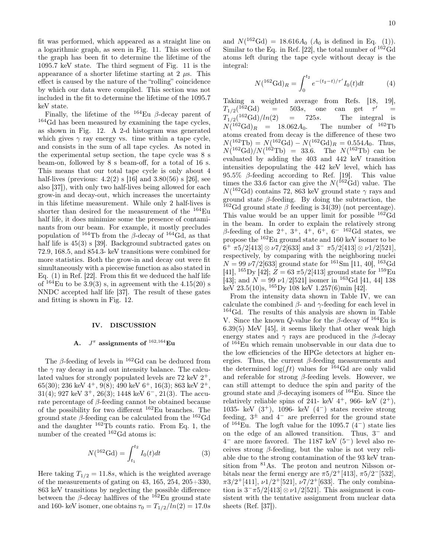fit was performed, which appeared as a straight line on a logarithmic graph, as seen in Fig. 11. This section of the graph has been fit to determine the lifetime of the 1095.7 keV state. The third segment of Fig. 11 is the appearance of a shorter lifetime starting at 2  $\mu$ s. This effect is caused by the nature of the "rolling" coincidence by which our data were compiled. This section was not included in the fit to determine the lifetime of the 1095.7 keV state.

Finally, the lifetime of the  $^{164}$ Eu  $\beta$ -decay parent of <sup>164</sup>Gd has been measured by examining the tape cycles, as shown in Fig. 12. A 2-d histogram was generated which gives  $\gamma$  ray energy vs. time within a tape cycle, and consists in the sum of all tape cycles. As noted in the experimental setup section, the tape cycle was 8 s beam-on, followed by 8 s beam-off, for a total of 16 s. This means that our total tape cycle is only about 4 half-lives (previous:  $4.2(2)$  s [16] and  $3.80(56)$  s [26], see also [37]), with only two half-lives being allowed for each grow-in and decay-out, which increases the uncertainty in this lifetime measurement. While only 2 half-lives is shorter than desired for the measurement of the  $^{164}$ Eu half life, it does minimize some the presence of contaminants from our beam. For example, it mostly precludes population of <sup>164</sup>Tb from the β-decay of <sup>164</sup>Gd, as that half life is  $45(3)$  s [39]. Background subtracted gates on 72.9, 168.5, and 854.3- keV transitions were combined for more statistics. Both the grow-in and decay out were fit simultaneously with a piecewise function as also stated in Eq. (1) in Ref. [22]. From this fit we deduced the half life of  $164$ Eu to be  $3.9(3)$  s, in agreement with the 4.15(20) s NNDC accepted half life [37]. The result of these gates and fitting is shown in Fig. 12.

### IV. DISCUSSION

## A.  $J^{\pi}$  assignments of  $^{162,164}\mathrm{Eu}$

The  $\beta$ -feeding of levels in <sup>162</sup>Gd can be deduced from the  $\gamma$  ray decay in and out intensity balance. The calculated values for strongly populated levels are  $72 \text{ keV } 2^+$ , 65(30); 236 keV 4<sup>+</sup>, 9(8); 490 keV 6<sup>+</sup>, 16(3); 863 keV 2<sup>+</sup>, 31(4); 927 keV  $3^+$ , 26(3); 1448 keV  $6^-$ , 21(3). The accurate percentage of  $\beta$ -feeding cannot be obtained because of the possibility for two different <sup>162</sup>Eu branches. The ground state  $\beta$ -feeding can be calculated from the <sup>162</sup>Gd and the daughter <sup>162</sup>Tb counts ratio. From Eq. 1, the number of the created <sup>162</sup>Gd atoms is:

$$
N({}^{162}\text{Gd}) = \int_{t_1}^{t_2} I_0(t)dt
$$
 (3)

Here taking  $T_{1/2} = 11.8s$ , which is the weighted average of the measurements of gating on  $43, 165, 254, 205+330$ , 863 keV transitions by neglecting the possible difference between the  $\beta$ -decay halflives of the  $^{162}$ Eu ground state and 160- keV isomer, one obtains  $\tau_0 = T_{1/2}/ln(2) = 17.0s$ 

and  $N(^{162}\text{Gd}) = 18.616A_0 (A_0 \text{ is defined in Eq. (1))}.$ Similar to the Eq. in Ref. [22], the total number of  $^{162}$ Gd atoms left during the tape cycle without decay is the integral:

$$
N({}^{162}\text{Gd})_R = \int_0^{t_2} e^{-(t_2 - t)/\tau'} I_0(t)dt \tag{4}
$$

Taking a weighted average from Refs. [18, 19],  $T_{1/2}({}^{1\bar{6}2}\text{Gd})$  $=$  503s, one can get  $\tau'$  $=$  $T_{1/2}^{1/2}$ (162Gd)/ln(2)  $=$  725s. The integral is<br>062 $A_0$ . The number of <sup>162</sup>Tb  $N({}^{162}\text{Gd})_R$  = 18.062 $A_0$ . The number of  ${}^{162}\text{Tb}$ atoms created from decay is the difference of these two  $N({}^{162}\text{Tb}) = N({}^{162}\text{Gd}) - N({}^{162}\text{Gd})_R = 0.554A_0.$  Thus,  $N({}^{162}\text{Gd})/N({}^{162}\text{Tb}) = 33.6$ . The  $N({}^{162}\text{Tb})$  can be evaluated by adding the 403 and 442 keV transition intensities depopulating the 442 keV level, which has 95.5%  $\beta$ -feeding according to Ref. [19]. This value times the 33.6 factor can give the  $N(^{162}\text{Gd})$  value. The  $N(^{162}\text{Gd})$  contains 72, 863 keV ground state  $\gamma$  rays and ground state  $\beta$ -feeding. By doing the subtraction, the <sup>162</sup>Gd ground state  $\beta$  feeding is 34(39) (not percentage). This value would be an upper limit for possible <sup>162</sup>Gd in the beam. In order to explain the relatively strong β-feeding of the  $2^+$ ,  $3^+$ ,  $4^+$ ,  $6^+$ ,  $6^ 162$  Gd states, we propose the <sup>162</sup>Eu ground state and 160 keV isomer to be  $6^+$   $\pi 5/2[413] \otimes \nu 7/2[633]$  and  $3^ \pi 5/2[413] \otimes \nu 1/2[521]$ , respectively, by comparing with the neighboring nuclei  $N = 99 \nu 7/2[633]$  ground state for <sup>161</sup>Sm [11, 40], <sup>163</sup>Gd [41],  $^{165}$ Dy [42];  $Z = 63 \pi 5/2$ [413] ground state for  $^{159}$ Eu [43]; and  $N = 99 \nu 1/2$ [521] isomer in <sup>163</sup>Gd [41, 44] 138 keV 23.5(10)s,  $165Dy$  108 keV 1.257(6)min [42].

From the intensity data shown in Table IV, we can calculate the combined  $\beta$ - and  $\gamma$ -feeding for each level in <sup>164</sup>Gd. The results of this analysis are shown in Table V. Since the known Q-value for the  $\beta$ -decay of <sup>164</sup>Eu is 6.39(5) MeV [45], it seems likely that other weak high energy states and  $\gamma$  rays are produced in the β-decay of <sup>164</sup>Eu which remain unobservable in our data due to the low efficiencies of the HPGe detectors at higher energies. Thus, the current  $\beta$ -feeding measurements and the determined  $log (ft)$  values for <sup>164</sup>Gd are only valid and referable for strong  $\beta$ -feeding levels. However, we can still attempt to deduce the spin and parity of the ground state and  $\beta$ -decaying isomers of <sup>164</sup>Eu. Since the relatively reliable spins of 241- keV  $4^+$ , 966- keV  $(2^+)$ , 1035- keV  $(3^+)$ , 1096- keV  $(4^-)$  states receive strong feeding,  $3^{\pm}$  and  $4^-$  are preferred for the ground state of  $164$ Eu. The logft value for the 1095.7 (4<sup>-</sup>) state lies on the edge of an allowed transition. Thus, 3<sup>−</sup> and 4 <sup>−</sup> are more favored. The 1187 keV (5<sup>−</sup>) level also receives strong  $\beta$ -feeding, but the value is not very reliable due to the strong contamination of the 93 keV transition from <sup>81</sup>As. The proton and neutron Nilsson orbitals near the fermi energy are  $\pi 5/2^+[413]$ ,  $\pi 5/2^-[532]$ ,  $\pi 3/2^+[411], \nu 1/2^+[521], \nu 7/2^+[633].$  The only combination is  $3-\pi 5/2[413] \otimes \nu 1/2[521]$ . This assignment is consistent with the tentative assignment from nuclear data sheets (Ref. [37]).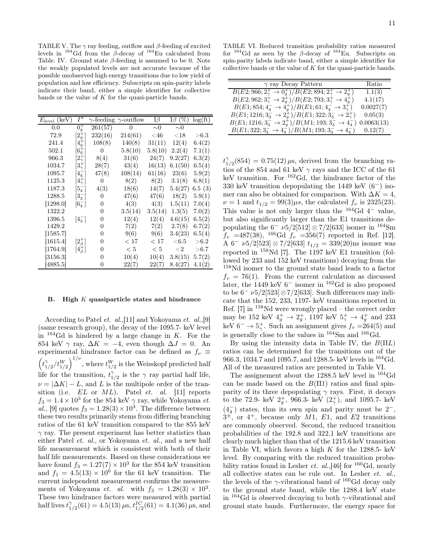TABLE V. The  $\gamma$  ray feeding, outflow and  $\beta$ -feeding of excited levels in  $164$  Gd from the β-decay of  $164$  Eu calculated from Table. IV. Ground state  $\beta$ -feeding is assumed to be 0. Note the weakly populated levels are not accurate because of the possible unobserved high energy transitions due to low yield of population and low efficiency. Subscripts on spin-parity labels indicate their band, either a simple identifier for collective bands or the value of  $K$  for the quasi-particle bands.

| $E_{\text{level}}$ (keV) | $I^{\pi}$                 |                  | $\gamma$ -feeding $\gamma$ -outflow | $I\beta$    | I $\beta$ (%) | log(f <sub>t</sub> ) |
|--------------------------|---------------------------|------------------|-------------------------------------|-------------|---------------|----------------------|
| 0.0                      | $0+$                      | 261(57)          | $\overline{0}$                      | $\sim\!\!0$ | $\sim \! 0$   |                      |
| 72.9                     | $[2^+_q]$                 | 232(16)          | 214(61)                             | $<$ 46      | ${<}18$       | $>\!\!6.3$           |
| 241.4                    | $[4^+_g]$                 | 108(8)           | 140(8)                              | 31(11)      | 12(4)         | 6.4(2)               |
| 502.1                    | $[6^+_q]$                 | $\boldsymbol{0}$ | 5.8(10)                             | 5.8(10)     | 2.2(4)        | 7.1(1)               |
| 966.3                    | $[2^+_\gamma]$            | 8(4)             | 31(6)                               | 24(7)       | 9.2(27)       | 6.3(2)               |
| 1034.7                   | $[3^{+}_{\gamma}]$        | 28(7)            | 43(4)                               | 16(13)      | 6.1(50)       | 6.5(4)               |
| 1095.7                   | $[4^{-}_{4}]$             | 47(8)            | 108(14)                             | 61(16)      | 23(6)         | 5.9(2)               |
| 1125.3                   | $[4^+_\gamma]$            | 0                | 8(2)                                | 8(2)        | 3.1(8)        | 6.8(1)               |
| 1187.3                   | $5^{-}_{4}$               | 4(3)             | 18(6)                               | 14(7)       | 5.4(27)       | 6.5(3)               |
| 1288.5                   | $[3^{-}_{3}]$             | 0                | 47(6)                               | 47(6)       | 18(2)         | 5.9(1)               |
| [1298.0]                 | $\lceil 6^{-}_{4} \rceil$ | $\theta$         | 4(3)                                | 4(3)        | 1.5(11)       | 7.0(4)               |
| 1322.2                   |                           | 0                | 3.5(14)                             | 3.5(14)     | 1.3(5)        | 7.0(2)               |
| 1396.5                   | $[4^{-}_{3}]$             | 0                | 12(4)                               | 12(4)       | 4.6(15)       | 6.5(2)               |
| 1429.2                   |                           | 0                | 7(2)                                | 7(2)        | 2.7(8)        | 6.7(2)               |
| 1585.7                   |                           | 0                | 9(6)                                | 9(6)        | 3.4(23)       | 6.5(4)               |
| 1615.4                   | $[2^+_\beta]$             | 0                | < 17                                | < 17        | ${<}6.5$      | $>\!\!6.2$           |
| $\left[1764.9\right]$    | $[4^+_\beta]$             | $\theta$         | < 5                                 | < 5         | ${<}2$        | > 6.7                |
| $\left[3156.3\right]$    |                           | 0                | 10(4)                               | 10(4)       | 3.8(15)       | 5.7(2)               |
| [4885.5]                 |                           | 0                | 22(7)                               | 22(7)       | 8.4(27)       | 4.1(2)               |

#### B. High  $K$  quasiparticle states and hindrance

According to Patel et. al.,[11] and Yokoyama et. al.,[9] (same research group), the decay of the 1095.7- keV level in  $164\text{Gd}$  is hindered by a large change in K. For the 854 keV  $\gamma$  ray,  $\Delta K = -4$ , even though  $\Delta J = 0$ . An experimental hindrance factor can be defined as  $f_{\nu} \equiv$  $\int_{t_1}$  $\frac{\gamma_{1/2}}{t_{1/2}}/t_{1/2}^W$ , where  $t_{1/2}^W$  is the Weisskopf predicted half life for the transition,  $t_1^{\gamma}$  $\gamma_{1/2}$  is the  $\gamma$  ray partial half life,  $\nu = |\Delta K| - L$ , and L is the multipole order of the transition (i.e.  $EL$  or  $ML$ ). Patel *et. al.* [11] reports  $f_3 = 1.4 \times 10^3$  for the 854 keV  $\gamma$  ray, while Yokoyama *et*. al., [9] quotes  $f_3 = 1.28(3) \times 10^3$ . The difference between these two results primarily stems from differing branching ratios of the 61 keV transition compared to the 855 keV  $\gamma$  ray. The present experiment has better statistics than either Patel et. al., or Yokoyama et. al., and a new half life measurement which is consistent with both of their half life measurements. Based on these considerations we have found  $f_3 = 1.27(7) \times 10^3$  for the 854 keV transition and  $f_1 = 4.5(13) \times 10^6$  for the 61 keV transition. The current independent measurement confirms the measurements of Yokoyama *et. al.* with  $f_3 = 1.28(3) \times 10^3$ . These two hindrance factors were measured with partial half lives  $t_1^{\gamma}$  $\frac{\gamma}{1/2}(61) = 4.5(13) \,\mu s, t_{1/2}^{IC}(61) = 4.1(36) \,\mu s,$  and

TABLE VI. Reduced transition probability ratios measured for  $164$ Gd as seen by the β-decay of  $164$ Eu. Subscripts on spin-parity labels indicate band, either a simple identifier for collective bands or the value of K for the quasi-particle bands.

| $\gamma$ ray Decay Pattern                                                            | Ratio     |
|---------------------------------------------------------------------------------------|-----------|
| $B(E2;966;2^+_2\rightarrow 0^+_q)/B(E2;894;2^+_2\rightarrow 2^+_q)$                   | 1.1(3)    |
| $B(E2; 962; 3^+_2 \rightarrow 2^+_q)/B(E2; 793; 3^+_2 \rightarrow 4^+_q)$             | 4.1(17)   |
| $B(E1; 854; 4_4^- \rightarrow 4_4^+)/B(E1; 61; 4_4^- \rightarrow 3_2^+)$              | 0.0027(7) |
| $B(E1; 1216; 3_3^- \rightarrow 2_9^+)/B(E1; 322; 3_3^- \rightarrow 2_7^+)$            | 0.05(3)   |
| $B(E1; 1216; 3_3^- \rightarrow 2_9^+)/B(M1; 193; 3_3^- \rightarrow 4_4^-)$ 0.0063(13) |           |
| $B(E1; 322; 3_3^- \rightarrow 4_4^-)/B(M1; 193; 3_3^- \rightarrow 4_4^-)$             | 0.12(7)   |

 $t_1^{\gamma}$  $T_{1/2}^{\gamma}(854) = 0.75(12) \,\mu s$ , derived from the branching ratios of the 854 and 61 keV  $\gamma$  rays and the ICC of the 61 keV transition. For <sup>162</sup>Gd, the hindrance factor of the 330 keV transition depopulating the 1449 keV (6−) isomer can also be obtained for comparison. With  $\Delta K = 4$ ,  $\nu = 1$  and  $t_{1/2} = 99(3)\mu s$ , the calculated  $f_v$  is 2325(23). This value is not only larger than the  $164\text{Gd } 4^-$  value, but also significantly larger than the E1 transitions depopulating the  $6^- \nu 5/2[512] \otimes 7/2[633]$  isomer in <sup>164</sup>Sm  $f_v$  =487(38), <sup>166</sup>Gd  $f_v$  =356(7) reported in Ref. [12]. A 6<sup>-</sup>  $\nu 5/2$ [523] ⊗ 7/2[633]  $t_{1/2} = 339(20)$ ns isomer was reported in <sup>158</sup>Nd [7]. The 1197 keV E1 transition (followed by 233 and 152 keV transitions) decaying from the <sup>158</sup>Nd isomer to the ground state band leads to a factor  $f_v = 76(1)$ . From the current calculation as discussed later, the 1449 keV  $6^-$  isomer in <sup>162</sup>Gd is also proposed to be  $6-\nu 5/2[523] \otimes 7/2[633]$ . Such differences may indicate that the 152, 233, 1197- keV transitions reported in Ref. [7] in <sup>158</sup>Nd were wrongly placed – the correct order may be 152 keV  $4^+_g \rightarrow 2^+_g$ , 1197 keV  $5^+_7 \rightarrow 4^+_g$  and 233 keV 6<sup>-</sup>  $\rightarrow$  5<sup>+</sup>. Such an assignment gives  $f_v = 264(5)$  and is generally close to the values in  $164$ Sm and  $166$ Gd.

By using the intensity data in Table IV, the  $B(\Pi L)$ ratios can be determined for the transitions out of the 966.3, 1034.7 and 1095.7, and 1288.5- keV levels in <sup>164</sup>Gd. All of the measured ratios are presented in Table VI.

The assignement about the 1288.5 keV level in  $^{164}$ Gd can be made based on the  $B(\Pi 1)$  ratios and final spinparity of its three depopulating  $\gamma$  rays. First, it decays to the 72.9- keV  $2^+_g$ , 966.3- keV  $(2^+_\gamma)$ , and 1095.7- keV  $(4<sub>4</sub><sup>-</sup>)$  states, thus its own spin and parity must be  $2<sup>-</sup>$ ,  $3^{\pm}$ , or 4<sup>+</sup>, because only M1, E1, and E2 transitions are commonly observed. Second, the reduced transition probabilities of the 192.8 and 322.1 keV transitions are clearly much higher than that of the 1215.6 keV transition in Table VI, which favors a high  $K$  for the 1288.5- keV level. By comparing with the reduced transition probability ratios found in Lesher *et.*  $al., [46]$  for <sup>160</sup>Gd, nearly all collective states can be rule out. In Lesher et. al., the levels of the  $\gamma$ -vibrational band of <sup>160</sup>Gd decay only to the ground state band, while the 1288.4 keV state in  $164$ Gd is observed decaying to both  $\gamma$ -vibrational and ground state bands. Furthermore, the energy space for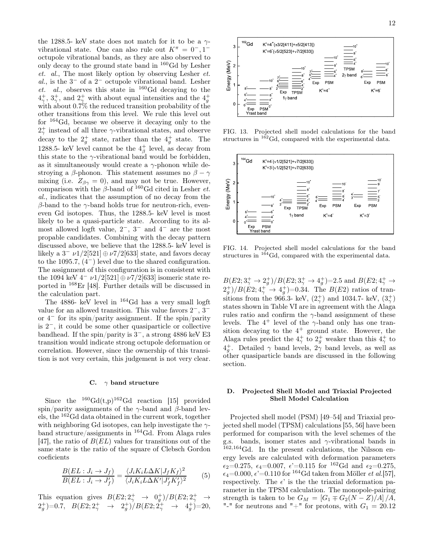the 1288.5- keV state does not match for it to be a  $\gamma$ vibrational state. One can also rule out  $K^{\pi} = 0^{-}, 1^{-}$ octupole vibrational bands, as they are also observed to only decay to the ground state band in <sup>160</sup>Gd by Lesher et. al., The most likely option by observing Lesher et.  $al$ , is the  $3^-$  of a  $2^-$  octupole vibrational band. Lesher et. al., observes this state in  $160 \text{Gd}$  decaying to the  $4^+_\gamma, 3^+_\gamma$ , and  $2^+_\gamma$  with about equal intensities and the  $4^+$ with about 0.7% the reduced transition probability of the other transitions from this level. We rule this level out for  $164\text{Gd}$ , because we observe it decaying only to the  $2^+_\gamma$  instead of all three  $\gamma$ -vibrational states, and observe decay to the  $2^+_g$  state, rather than the  $4^+_g$  state. The 1288.5- keV level cannot be the  $4^+_\beta$  level, as decay from this state to the  $\gamma$ -vibrational band would be forbidden, as it simultaneously would create a  $\gamma$ -phonon while destroying a β-phonon. This statement assumes no  $\beta - \gamma$ mixing (i.e.  $Z_{\beta\gamma} = 0$ ), and may not be true. However, comparison with the  $\beta$ -band of <sup>160</sup>Gd cited in Lesher et. al., indicates that the assumption of no decay from the  $β$ -band to the γ-band holds true for neutron-rich, eveneven Gd isotopes. Thus, the 1288.5- keV level is most likely to be a quasi-particle state. According to its almost allowed logft value,  $2^-, 3^-$  and  $4^-$  are the most propable candidates. Combining with the decay pattern discussed above, we believe that the 1288.5- keV level is likely a  $3^- \nu 1/2[521] \oplus \nu 7/2[633]$  state, and favors decay to the 1095.7,  $(4^-)$  level due to the shared configuration. The assignment of this configuration is in consistent with the 1094 keV  $4^- \nu 1/2[521] \oplus \nu 7/2[633]$  isomeric state reported in <sup>168</sup>Er [48]. Further details will be discussed in the calculation part.

The 4886- keV level in <sup>164</sup>Gd has a very small logft value for an allowed transition. This value favors 2−, 3<sup>−</sup> or 4<sup>−</sup> for its spin/parity assignment. If the spin/parity is 2−, it could be some other quasiparticle or collective bandhead. If the spin/parity is 3−, a strong 4886 keV E3 transition would indicate strong octupole deformation or correlation. However, since the ownership of this transition is not very certain, this judgement is not very clear.

#### C.  $\gamma$  band structure

Since the  $^{160}Gd(t,p)^{162}Gd$  reaction [15] provided spin/parity assignments of the  $\gamma$ -band and  $\beta$ -band levels, the <sup>162</sup>Gd data obtained in the current work, together with neighboring Gd isotopes, can help investigate the  $\gamma$ band structure/assignments in <sup>164</sup>Gd. From Alaga rules [47], the ratio of  $B(EL)$  values for transitions out of the same state is the ratio of the square of Clebsch Gordon coeficients

$$
\frac{B(EL: J_i \to J_f)}{B(EL: J_i \to J'_f)} = \frac{\langle J_i K_i L \Delta K | J_f K_f \rangle^2}{\langle J_i K_i L \Delta K' | J'_f K'_f \rangle^2} \tag{5}
$$

This equation gives  $B(E2; 2^+_7 \rightarrow 0^+_g)/B(E2; 2^+_7 \rightarrow$  $2^+_g$  = 0.7,  $B(E2; 2^+_\gamma \rightarrow 2^+_g)/B(E2; 2^+_\gamma \rightarrow 4^+_g)$  = 20,



FIG. 13. Projected shell model calculations for the band structures in  $1^{62}$ Gd, compared with the experimental data.



FIG. 14. Projected shell model calculations for the band structures in  $164$ Gd, compared with the experimental data.

 $B(E2; 3^+_{\gamma} \rightarrow 2^+_{g})/B(E2; 3^+_{\gamma} \rightarrow 4^+_{g}) = 2.5$  and  $B(E2; 4^+_{\gamma} \rightarrow$  $2^+_g)/B(E2; 4^+_g \rightarrow 4^+_g)=0.34.$  The  $B(E2)$  ratios of transitions from the 966.3- keV,  $(2^+_\gamma)$  and 1034.7- keV,  $(3^+_\gamma)$ states shown in Table VI are in agreement with the Alaga rules ratio and confirm the  $\gamma$ -band assignment of these levels. The  $4^+$  level of the  $\gamma$ -band only has one transition decaying to the  $4^+$  ground state. However, the Alaga rules predict the  $4^+_\gamma$  to  $2^+_\gamma$  weaker than this  $4^+_\gamma$  to  $4^+_g$ . Detailed  $\gamma$  band levels,  $2\gamma$  band levels, as well as other quasiparticle bands are discussed in the following section.

#### D. Projected Shell Model and Triaxial Projected Shell Model Calculation

Projected shell model (PSM) [49–54] and Triaxial projected shell model (TPSM) calculations [55, 56] have been performed for comparison with the level schemes of the g.s. bands, isomer states and γ-vibrational bands in <sup>162</sup>,<sup>164</sup>Gd. In the present calculations, the Nilsson energy levels are calculated with deformation parameters  $\epsilon_2=0.275, \ \epsilon_4=0.007, \ \epsilon'=0.115 \text{ for }^{162}\text{Gd and } \epsilon_2=0.275,$  $\epsilon_4=0.000, \epsilon'=0.110$  for <sup>164</sup>Gd taken from Möller *et al.*[57], respectively. The  $\epsilon'$  is the the triaxial deformation parameter in the TPSM calculation. The monopole-pairing strength is taken to be  $G_M = [G_1 \mp G_2(N-Z)/A]/A$ , "-" for neutrons and "+" for protons, with  $G_1 = 20.12$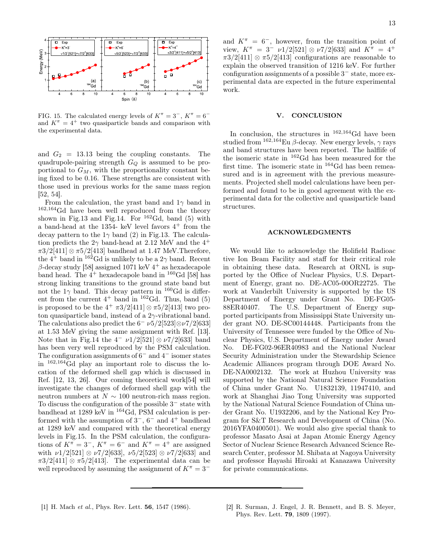

FIG. 15. The calculated energy levels of  $K^{\pi} = 3^{-}$ ,  $K^{\pi} = 6^{-}$ and  $K^{\pi} = 4^{+}$  two quasiparticle bands and comparison with the experimental data.

and  $G_2 = 13.13$  being the coupling constants. The quadrupole-pairing strength  $G_Q$  is assumed to be proportional to  $G_M$ , with the proportionality constant being fixed to be 0.16. These strengths are consistent with those used in previous works for the same mass region [52, 54].

From the calculation, the yrast band and  $1\gamma$  band in <sup>162</sup>,164Gd have been well reproduced from the theory shown in Fig.13 and Fig.14. For  $^{162}$ Gd, band (5) with a band-head at the 1354- keV level favors  $4^+$  from the decay pattern to the  $1\gamma$  band (2) in Fig.13. The calculation predicts the  $2\gamma$  band-head at 2.12 MeV and the  $4^+$  $\pi 3/2[411] \otimes \pi 5/2[413]$  bandhead at 1.47 MeV. Therefore, the  $4^+$  band in  $16^2$ Gd is unlikely to be a  $2\gamma$  band. Recent  $β$ -decay study [58] assigned 1071 keV 4<sup>+</sup> as hexadecapole band head. The  $4^+$  hexadecapole band in  $160$ Gd [58] has strong linking transitions to the ground state band but not the  $1\gamma$  band. This decay pattern in <sup>160</sup>Gd is different from the current  $4^+$  band in  $162$  Gd. Thus, band (5) is proposed to be the  $4^+ \pi 3/2[411] \otimes \pi 5/2[413]$  two proton quasiparticle band, instead of a  $2\gamma$ -vibrational band. The calculations also predict the  $6-\nu 5/2[523]\otimes \nu 7/2[633]$ at 1.53 MeV giving the same assignment with Ref. [13]. Note that in Fig.14 the  $4-\nu 1/2[521] \otimes \nu 7/2[633]$  band has been very well reproduced by the PSM calculation. The configuration assignments of  $6<sup>-</sup>$  and  $4<sup>-</sup>$  isomer states in <sup>162</sup>,164Gd play an important role to discuss the location of the deformed shell gap which is discussed in Ref. [12, 13, 26]. Our coming theoretical work[54] will investigate the changes of deformed shell gap with the neutron numbers at  $N \sim 100$  neutron-rich mass region. To discuss the configuration of the possible  $3^-$  state with bandhead at 1289 keV in <sup>164</sup>Gd, PSM calculation is performed with the assumption of  $3^-$ ,  $6^-$  and  $4^+$  bandhead at 1289 keV and compared with the theoretical energy levels in Fig.15. In the PSM calculation, the configurations of  $K^{\pi} = 3^{-}$ ,  $K^{\pi} = 6^{-}$  and  $K^{\pi} = 4^{+}$  are assigned with  $\nu_1/2[521] \otimes \nu_7/2[633]$ ,  $\nu_5/2[523] \otimes \nu_7/2[633]$  and  $\pi 3/2[411] \otimes \pi 5/2[413]$ . The experimental data can be well reproduced by assuming the assignment of  $K^{\pi} = 3^{-}$ 

and  $K^{\pi} = 6^{-}$ , however, from the transition point of view,  $K^{\pi} = 3^{-} \nu 1/25521 \otimes \nu 7/25633$  and  $K^{\pi} = 4^{+}$  $\pi 3/2[411] \otimes \pi 5/2[413]$  configurations are reasonable to explain the observed transition of 1216 keV. For further configuration assignments of a possible 3 <sup>−</sup> state, more experimental data are expected in the future experimental work.

#### V. CONCLUSION

In conclusion, the structures in  $162,164$ Gd have been studied from  $^{162,164}$ Eu β-decay. New energy levels,  $\gamma$  rays and band structures have been reported. The halflife of the isomeric state in  $162$  Gd has been measured for the first time. The isomeric state in <sup>164</sup>Gd has been remeasured and is in agreement with the previous measurements. Projected shell model calculations have been performed and found to be in good agreement with the experimental data for the collective and quasiparticle band structures.

#### ACKNOWLEDGMENTS

We would like to acknowledge the Holifield Radioac tive Ion Beam Facility and staff for their critical role in obtaining these data. Research at ORNL is supported by the Office of Nuclear Physics, U.S. Department of Energy, grant no. DE-AC05-00OR22725. The work at Vanderbilt University is supported by the US Department of Energy under Grant No. DE-FG05- 88ER40407. The U.S. Department of Energy supported participants from Mississippi State University under grant NO. DE-SC00144448. Participants from the University of Tennessee were funded by the Office of Nuclear Physics, U.S. Department of Energy under Award No. DE-FG02-96ER40983 and the National Nuclear Security Administration under the Stewardship Science Academic Alliances program through DOE Award No. DE-NA0002132. The work at Huzhou University was supported by the National Natural Science Foundation of China under Grant No. U1832139, 11947410, and work at Shanghai Jiao Tong University was supported by the National Natural Science Foundation of China under Grant No. U1932206, and by the National Key Program for S&T Research and Development of China (No. 2016YFA0400501). We would also give special thank to professor Masato Asai at Japan Atomic Energy Agency Sector of Nuclear Science Research Advanced Science Research Center, professor M. Shibata at Nagoya University and professor Hayashi Hiroaki at Kanazawa University for private communications.

[1] H. Mach et al., Phys. Rev. Lett. 56, 1547 (1986). [2] R. Surman, J. Engel, J. R. Bennett, and B. S. Meyer, Phys. Rev. Lett. 79, 1809 (1997).